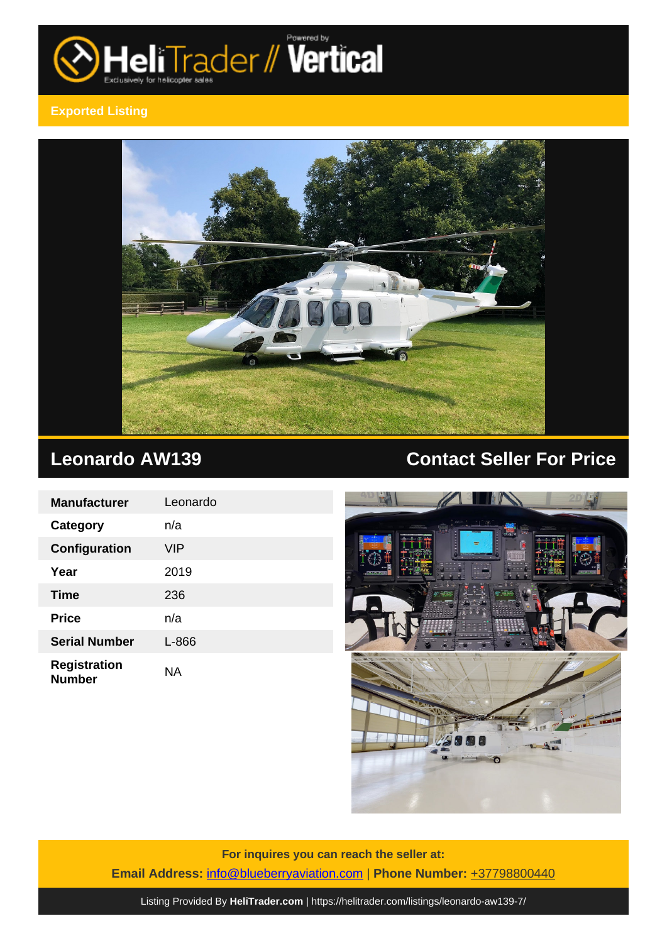

## **Exported Listing**



| <b>Manufacturer</b>                  | Leonardo |
|--------------------------------------|----------|
| <b>Category</b>                      | n/a      |
| Configuration                        | VIP      |
| Year                                 | 2019     |
| Time                                 | 236      |
| <b>Price</b>                         | n/a      |
| <b>Serial Number</b>                 | L-866    |
| <b>Registration</b><br><b>Number</b> | NA       |

# **Leonardo AW139 Contact Seller For Price**



**For inquires you can reach the seller at: Email Address:** [info@blueberryaviation.com](mailto:info@blueberryaviation.com,) | **Phone Number:** +37798800440

Listing Provided By **[HeliTrader.com](https://helitrader.com)** |<https://helitrader.com/listings/leonardo-aw139-7/>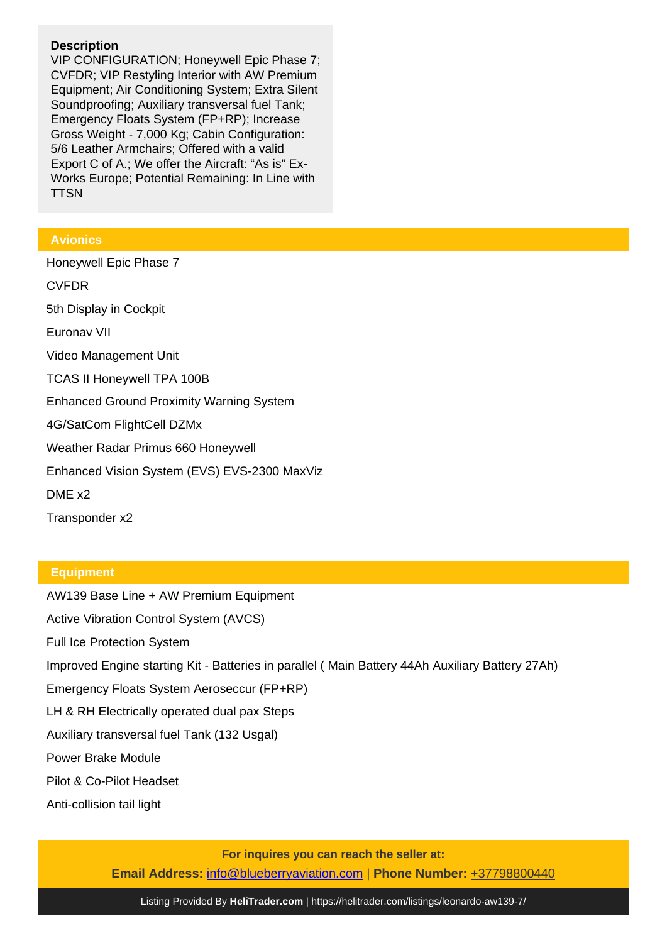### **Description**

VIP CONFIGURATION; Honeywell Epic Phase 7; CVFDR; VIP Restyling Interior with AW Premium Equipment; Air Conditioning System; Extra Silent Soundproofing; Auxiliary transversal fuel Tank; Emergency Floats System (FP+RP); Increase Gross Weight - 7,000 Kg; Cabin Configuration: 5/6 Leather Armchairs; Offered with a valid Export C of A.; We offer the Aircraft: "As is" Ex-Works Europe; Potential Remaining: In Line with **TTSN** 

### **Avionics**

Honeywell Epic Phase 7 CVFDR 5th Display in Cockpit Euronav VII Video Management Unit TCAS II Honeywell TPA 100B Enhanced Ground Proximity Warning System 4G/SatCom FlightCell DZMx Weather Radar Primus 660 Honeywell Enhanced Vision System (EVS) EVS-2300 MaxViz DME x2

Transponder x2

#### **Equipment**

AW139 Base Line + AW Premium Equipment Active Vibration Control System (AVCS) Full Ice Protection System Improved Engine starting Kit - Batteries in parallel ( Main Battery 44Ah Auxiliary Battery 27Ah) Emergency Floats System Aeroseccur (FP+RP) LH & RH Electrically operated dual pax Steps Auxiliary transversal fuel Tank (132 Usgal) Power Brake Module Pilot & Co-Pilot Headset Anti-collision tail light

**For inquires you can reach the seller at:**

**Email Address:** [info@blueberryaviation.com](mailto:info@blueberryaviation.com,) | **Phone Number:** +37798800440

Listing Provided By **[HeliTrader.com](https://helitrader.com)** |<https://helitrader.com/listings/leonardo-aw139-7/>